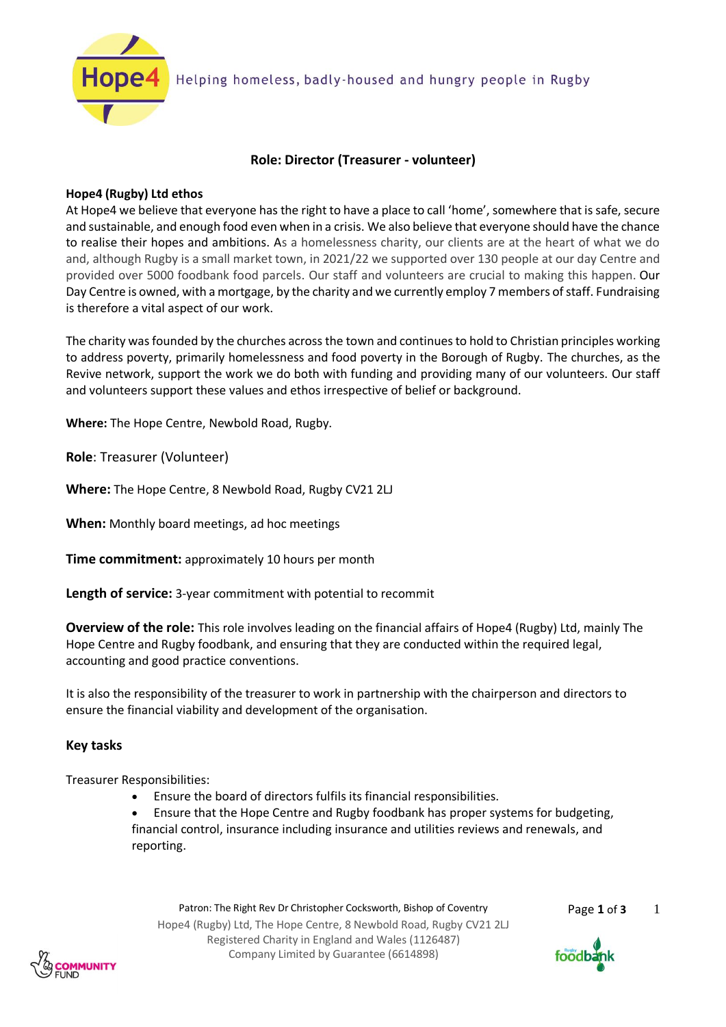

# **Role: Director (Treasurer - volunteer)**

# **Hope4 (Rugby) Ltd ethos**

At Hope4 we believe that everyone has the right to have a place to call 'home', somewhere that is safe, secure and sustainable, and enough food even when in a crisis. We also believe that everyone should have the chance to realise their hopes and ambitions. As a homelessness charity, our clients are at the heart of what we do and, although Rugby is a small market town, in 2021/22 we supported over 130 people at our day Centre and provided over 5000 foodbank food parcels. Our staff and volunteers are crucial to making this happen. Our Day Centre is owned, with a mortgage, by the charity and we currently employ 7 members of staff. Fundraising is therefore a vital aspect of our work.

The charity wasfounded by the churches across the town and continues to hold to Christian principles working to address poverty, primarily homelessness and food poverty in the Borough of Rugby. The churches, as the Revive network, support the work we do both with funding and providing many of our volunteers. Our staff and volunteers support these values and ethos irrespective of belief or background.

**Where:** The Hope Centre, Newbold Road, Rugby.

**Role**: Treasurer (Volunteer)

**Where:** The Hope Centre, 8 Newbold Road, Rugby CV21 2LJ

**When:** Monthly board meetings, ad hoc meetings

**Time commitment:** approximately 10 hours per month

**Length of service:** 3-year commitment with potential to recommit

**Overview of the role:** This role involves leading on the financial affairs of Hope4 (Rugby) Ltd, mainly The Hope Centre and Rugby foodbank, and ensuring that they are conducted within the required legal, accounting and good practice conventions.

It is also the responsibility of the treasurer to work in partnership with the chairperson and directors to ensure the financial viability and development of the organisation.

# **Key tasks**

Treasurer Responsibilities:

• Ensure the board of directors fulfils its financial responsibilities.

• Ensure that the Hope Centre and Rugby foodbank has proper systems for budgeting, financial control, insurance including insurance and utilities reviews and renewals, and reporting.

Patron: The Right Rev Dr Christopher Cocksworth, Bishop of Coventry Page 1 of 3 Hope4 (Rugby) Ltd, The Hope Centre, 8 Newbold Road, Rugby CV21 2LJ Registered Charity in England and Wales (1126487) Company Limited by Guarantee (6614898)

1



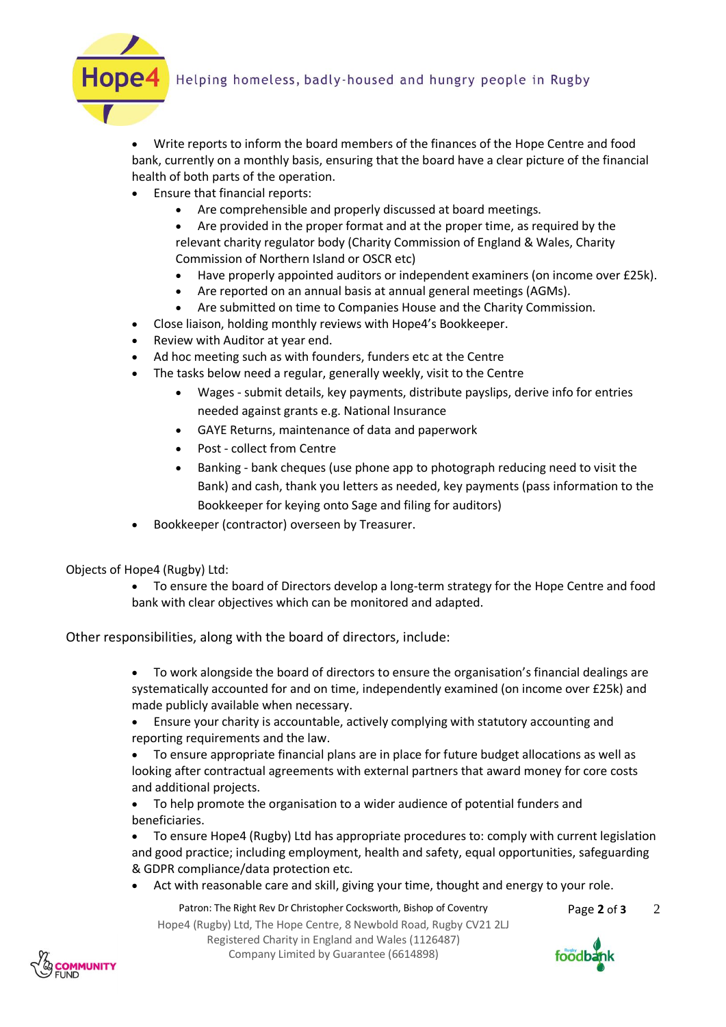# Helping homeless, badly-housed and hungry people in Rugby



• Write reports to inform the board members of the finances of the Hope Centre and food bank, currently on a monthly basis, ensuring that the board have a clear picture of the financial health of both parts of the operation.

- Ensure that financial reports:
	- Are comprehensible and properly discussed at board meetings.
	- Are provided in the proper format and at the proper time, as required by the relevant charity regulator body (Charity Commission of England & Wales, Charity Commission of Northern Island or OSCR etc)
	- Have properly appointed auditors or independent examiners (on income over £25k).
	- Are reported on an annual basis at annual general meetings (AGMs).
	- Are submitted on time to Companies House and the Charity Commission.
- Close liaison, holding monthly reviews with Hope4's Bookkeeper.
- Review with Auditor at year end.
- Ad hoc meeting such as with founders, funders etc at the Centre
- The tasks below need a regular, generally weekly, visit to the Centre
	- Wages submit details, key payments, distribute payslips, derive info for entries needed against grants e.g. National Insurance
	- GAYE Returns, maintenance of data and paperwork
	- Post collect from Centre
	- Banking bank cheques (use phone app to photograph reducing need to visit the Bank) and cash, thank you letters as needed, key payments (pass information to the Bookkeeper for keying onto Sage and filing for auditors)
- Bookkeeper (contractor) overseen by Treasurer.

Objects of Hope4 (Rugby) Ltd:

• To ensure the board of Directors develop a long-term strategy for the Hope Centre and food bank with clear objectives which can be monitored and adapted.

Other responsibilities, along with the board of directors, include:

• To work alongside the board of directors to ensure the organisation's financial dealings are systematically accounted for and on time, independently examined (on income over £25k) and made publicly available when necessary.

• Ensure your charity is accountable, actively complying with statutory accounting and reporting requirements and the law.

• To ensure appropriate financial plans are in place for future budget allocations as well as looking after contractual agreements with external partners that award money for core costs and additional projects.

• To help promote the organisation to a wider audience of potential funders and beneficiaries.

• To ensure Hope4 (Rugby) Ltd has appropriate procedures to: comply with current legislation and good practice; including employment, health and safety, equal opportunities, safeguarding & GDPR compliance/data protection etc.

• Act with reasonable care and skill, giving your time, thought and energy to your role.

Patron: The Right Rev Dr Christopher Cocksworth, Bishop of Coventry Page 2 of 3

2

Hope4 (Rugby) Ltd, The Hope Centre, 8 Newbold Road, Rugby CV21 2LJ Registered Charity in England and Wales (1126487) Company Limited by Guarantee (6614898)